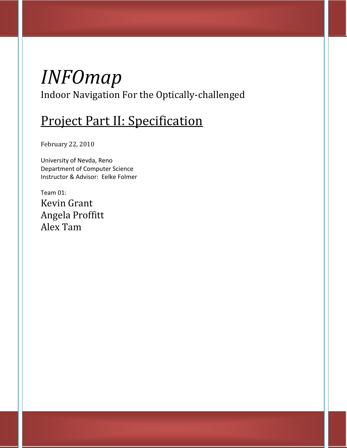# *INFOmap* Indoor Navigation For the Optically-challenged

# Project Part II: Specification

February 22, 2010

University of Nevda, Reno Department of Computer Science Instructor & Advisor: Eelke Folmer

Team 01: Kevin Grant Angela Proffitt Alex Tam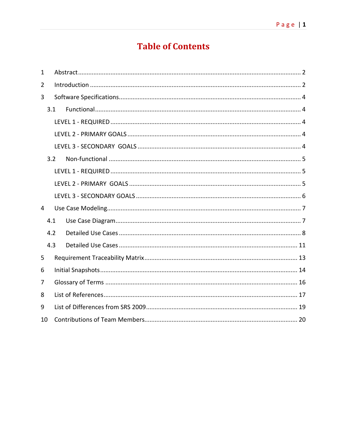# **Table of Contents**

| 1  |     |  |  |  |  |
|----|-----|--|--|--|--|
| 2  |     |  |  |  |  |
| 3  |     |  |  |  |  |
|    | 3.1 |  |  |  |  |
|    |     |  |  |  |  |
|    |     |  |  |  |  |
|    |     |  |  |  |  |
|    | 3.2 |  |  |  |  |
|    |     |  |  |  |  |
|    |     |  |  |  |  |
|    |     |  |  |  |  |
| 4  |     |  |  |  |  |
|    | 4.1 |  |  |  |  |
|    | 4.2 |  |  |  |  |
|    | 4.3 |  |  |  |  |
| 5  |     |  |  |  |  |
| 6  |     |  |  |  |  |
| 7  |     |  |  |  |  |
| 8  |     |  |  |  |  |
| 9  |     |  |  |  |  |
| 10 |     |  |  |  |  |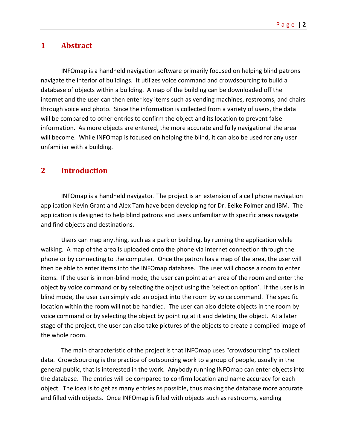## <span id="page-2-0"></span>**1 Abstract**

INFOmap is a handheld navigation software primarily focused on helping blind patrons navigate the interior of buildings. It utilizes voice command and crowdsourcing to build a database of objects within a building. A map of the building can be downloaded off the internet and the user can then enter key items such as vending machines, restrooms, and chairs through voice and photo. Since the information is collected from a variety of users, the data will be compared to other entries to confirm the object and its location to prevent false information. As more objects are entered, the more accurate and fully navigational the area will become. While INFOmap is focused on helping the blind, it can also be used for any user unfamiliar with a building.

## <span id="page-2-1"></span>**2 Introduction**

INFOmap is a handheld navigator. The project is an extension of a cell phone navigation application Kevin Grant and Alex Tam have been developing for Dr. Eelke Folmer and IBM. The application is designed to help blind patrons and users unfamiliar with specific areas navigate and find objects and destinations.

Users can map anything, such as a park or building, by running the application while walking. A map of the area is uploaded onto the phone via internet connection through the phone or by connecting to the computer. Once the patron has a map of the area, the user will then be able to enter items into the INFOmap database. The user will choose a room to enter items. If the user is in non-blind mode, the user can point at an area of the room and enter the object by voice command or by selecting the object using the 'selection option'. If the user is in blind mode, the user can simply add an object into the room by voice command. The specific location within the room will not be handled. The user can also delete objects in the room by voice command or by selecting the object by pointing at it and deleting the object. At a later stage of the project, the user can also take pictures of the objects to create a compiled image of the whole room.

The main characteristic of the project is that INFOmap uses "crowdsourcing" to collect data. Crowdsourcing is the practice of outsourcing work to a group of people, usually in the general public, that is interested in the work. Anybody running INFOmap can enter objects into the database. The entries will be compared to confirm location and name accuracy for each object. The idea is to get as many entries as possible, thus making the database more accurate and filled with objects. Once INFOmap is filled with objects such as restrooms, vending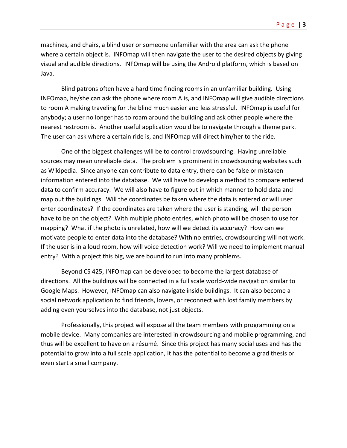machines, and chairs, a blind user or someone unfamiliar with the area can ask the phone where a certain object is. INFOmap will then navigate the user to the desired objects by giving visual and audible directions. INFOmap will be using the Android platform, which is based on Java.

Blind patrons often have a hard time finding rooms in an unfamiliar building. Using INFOmap, he/she can ask the phone where room A is, and INFOmap will give audible directions to room A making traveling for the blind much easier and less stressful. INFOmap is useful for anybody; a user no longer has to roam around the building and ask other people where the nearest restroom is. Another useful application would be to navigate through a theme park. The user can ask where a certain ride is, and INFOmap will direct him/her to the ride.

One of the biggest challenges will be to control crowdsourcing. Having unreliable sources may mean unreliable data. The problem is prominent in crowdsourcing websites such as Wikipedia. Since anyone can contribute to data entry, there can be false or mistaken information entered into the database. We will have to develop a method to compare entered data to confirm accuracy. We will also have to figure out in which manner to hold data and map out the buildings. Will the coordinates be taken where the data is entered or will user enter coordinates? If the coordinates are taken where the user is standing, will the person have to be on the object? With multiple photo entries, which photo will be chosen to use for mapping? What if the photo is unrelated, how will we detect its accuracy? How can we motivate people to enter data into the database? With no entries, crowdsourcing will not work. If the user is in a loud room, how will voice detection work? Will we need to implement manual entry? With a project this big, we are bound to run into many problems.

Beyond CS 425, INFOmap can be developed to become the largest database of directions. All the buildings will be connected in a full scale world-wide navigation similar to Google Maps. However, INFOmap can also navigate inside buildings. It can also become a social network application to find friends, lovers, or reconnect with lost family members by adding even yourselves into the database, not just objects.

Professionally, this project will expose all the team members with programming on a mobile device. Many companies are interested in crowdsourcing and mobile programming, and thus will be excellent to have on a résumé. Since this project has many social uses and has the potential to grow into a full scale application, it has the potential to become a grad thesis or even start a small company.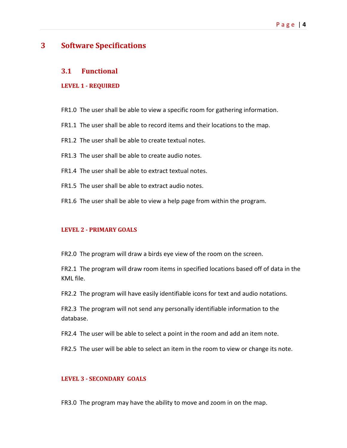## <span id="page-4-0"></span>**3 Software Specifications**

#### <span id="page-4-1"></span>**3.1 Functional**

#### <span id="page-4-2"></span>**LEVEL 1 - REQUIRED**

- FR1.0 The user shall be able to view a specific room for gathering information.
- FR1.1 The user shall be able to record items and their locations to the map.
- FR1.2 The user shall be able to create textual notes.
- FR1.3 The user shall be able to create audio notes.
- FR1.4 The user shall be able to extract textual notes.
- FR1.5 The user shall be able to extract audio notes.
- FR1.6 The user shall be able to view a help page from within the program.

#### <span id="page-4-3"></span>**LEVEL 2 - PRIMARY GOALS**

FR2.0 The program will draw a birds eye view of the room on the screen.

FR2.1 The program will draw room items in specified locations based off of data in the KML file.

FR2.2 The program will have easily identifiable icons for text and audio notations.

FR2.3 The program will not send any personally identifiable information to the database.

FR2.4 The user will be able to select a point in the room and add an item note.

FR2.5 The user will be able to select an item in the room to view or change its note.

#### <span id="page-4-4"></span>**LEVEL 3 - SECONDARY GOALS**

FR3.0 The program may have the ability to move and zoom in on the map.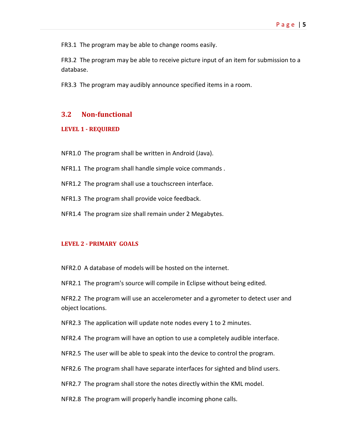FR3.1 The program may be able to change rooms easily.

FR3.2 The program may be able to receive picture input of an item for submission to a database.

FR3.3 The program may audibly announce specified items in a room.

#### <span id="page-5-0"></span>**3.2 Non-functional**

#### <span id="page-5-1"></span>**LEVEL 1 - REQUIRED**

NFR1.0 The program shall be written in Android (Java).

- NFR1.1 The program shall handle simple voice commands .
- NFR1.2 The program shall use a touchscreen interface.
- NFR1.3 The program shall provide voice feedback.
- NFR1.4 The program size shall remain under 2 Megabytes.

#### <span id="page-5-2"></span>**LEVEL 2 - PRIMARY GOALS**

NFR2.0 A database of models will be hosted on the internet.

NFR2.1 The program's source will compile in Eclipse without being edited.

NFR2.2 The program will use an accelerometer and a gyrometer to detect user and object locations.

NFR2.3 The application will update note nodes every 1 to 2 minutes.

NFR2.4 The program will have an option to use a completely audible interface.

NFR2.5 The user will be able to speak into the device to control the program.

NFR2.6 The program shall have separate interfaces for sighted and blind users.

NFR2.7 The program shall store the notes directly within the KML model.

NFR2.8 The program will properly handle incoming phone calls.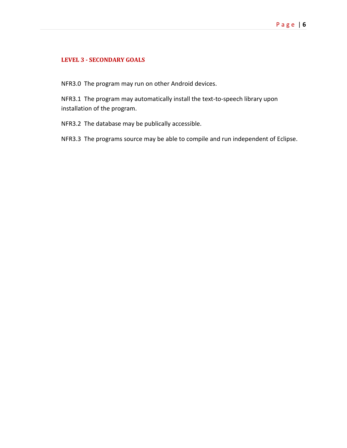#### <span id="page-6-0"></span>**LEVEL 3 - SECONDARY GOALS**

NFR3.0 The program may run on other Android devices.

NFR3.1 The program may automatically install the text-to-speech library upon installation of the program.

NFR3.2 The database may be publically accessible.

NFR3.3 The programs source may be able to compile and run independent of Eclipse.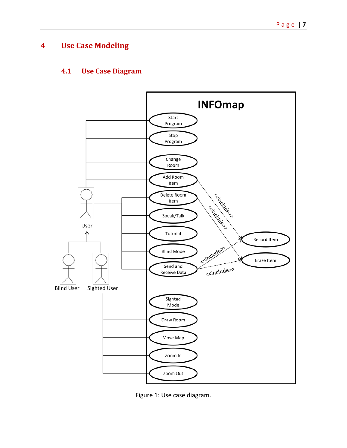# <span id="page-7-0"></span>**4 Use Case Modeling**

## <span id="page-7-1"></span>**4.1 Use Case Diagram**



Figure 1: Use case diagram.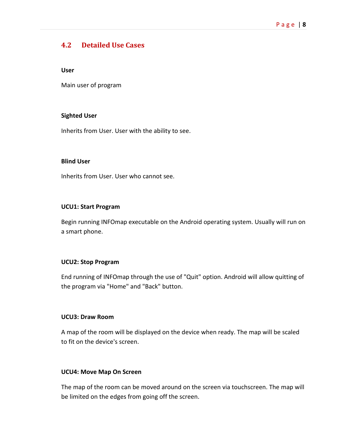# <span id="page-8-0"></span>**4.2 Detailed Use Cases**

#### **User**

Main user of program

#### **Sighted User**

Inherits from User. User with the ability to see.

#### **Blind User**

Inherits from User. User who cannot see.

#### **UCU1: Start Program**

Begin running INFOmap executable on the Android operating system. Usually will run on a smart phone.

#### **UCU2: Stop Program**

End running of INFOmap through the use of "Quit" option. Android will allow quitting of the program via "Home" and "Back" button.

#### **UCU3: Draw Room**

A map of the room will be displayed on the device when ready. The map will be scaled to fit on the device's screen.

#### **UCU4: Move Map On Screen**

The map of the room can be moved around on the screen via touchscreen. The map will be limited on the edges from going off the screen.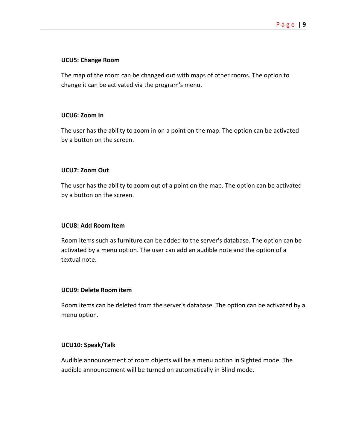#### **UCU5: Change Room**

The map of the room can be changed out with maps of other rooms. The option to change it can be activated via the program's menu.

#### **UCU6: Zoom In**

The user has the ability to zoom in on a point on the map. The option can be activated by a button on the screen.

#### **UCU7: Zoom Out**

The user has the ability to zoom out of a point on the map. The option can be activated by a button on the screen.

#### **UCU8: Add Room Item**

Room items such as furniture can be added to the server's database. The option can be activated by a menu option. The user can add an audible note and the option of a textual note.

#### **UCU9: Delete Room item**

Room items can be deleted from the server's database. The option can be activated by a menu option.

#### **UCU10: Speak/Talk**

Audible announcement of room objects will be a menu option in Sighted mode. The audible announcement will be turned on automatically in Blind mode.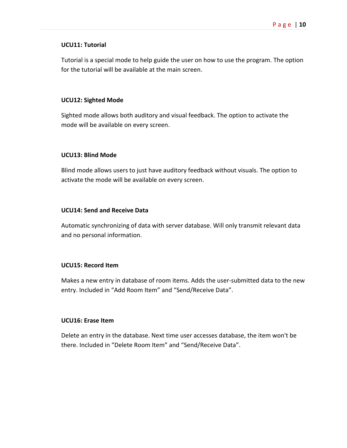#### **UCU11: Tutorial**

Tutorial is a special mode to help guide the user on how to use the program. The option for the tutorial will be available at the main screen.

#### **UCU12: Sighted Mode**

Sighted mode allows both auditory and visual feedback. The option to activate the mode will be available on every screen.

#### **UCU13: Blind Mode**

Blind mode allows users to just have auditory feedback without visuals. The option to activate the mode will be available on every screen.

#### **UCU14: Send and Receive Data**

Automatic synchronizing of data with server database. Will only transmit relevant data and no personal information.

#### **UCU15: Record Item**

Makes a new entry in database of room items. Adds the user-submitted data to the new entry. Included in "Add Room Item" and "Send/Receive Data".

#### **UCU16: Erase Item**

Delete an entry in the database. Next time user accesses database, the item won't be there. Included in "Delete Room Item" and "Send/Receive Data".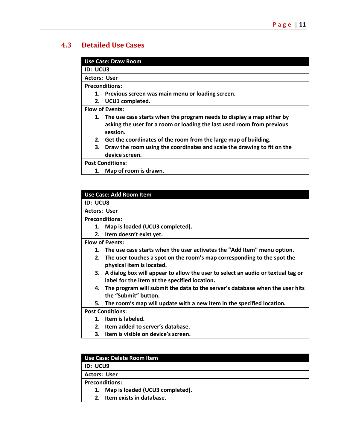# <span id="page-11-0"></span>**4.3 Detailed Use Cases**

|  | Use Case: Draw Room |
|--|---------------------|
|  |                     |

**ID: UCU3**

**Actors: User**

**Preconditions:**

- **1. Previous screen was main menu or loading screen.**
- **2. UCU1 completed.**

**Flow of Events:**

- **1. The use case starts when the program needs to display a map either by asking the user for a room or loading the last used room from previous session.**
- **2. Get the coordinates of the room from the large map of building.**
- **3. Draw the room using the coordinates and scale the drawing to fit on the device screen.**

**Post Conditions:**

**1. Map of room is drawn.**

**ID: UCU8**

**Actors: User**

**Preconditions:**

- **1. Map is loaded (UCU3 completed).**
- **2. Item doesn't exist yet.**

**Flow of Events:**

- **1. The use case starts when the user activates the "Add Item" menu option.**
- **2. The user touches a spot on the room's map corresponding to the spot the physical item is located.**
- **3. A dialog box will appear to allow the user to select an audio or textual tag or label for the item at the specified location.**
- **4. The program will submit the data to the server's database when the user hits the "Submit" button.**
- **5. The room's map will update with a new item in the specified location.**

**Post Conditions:**

- **1. Item is labeled.**
- **2. Item added to server's database.**
- **3. Item is visible on device's screen.**

# **Use Case: Delete Room Item**

**ID: UCU9**

**Actors: User**

**Preconditions:**

- **1. Map is loaded (UCU3 completed).**
- **2. Item exists in database.**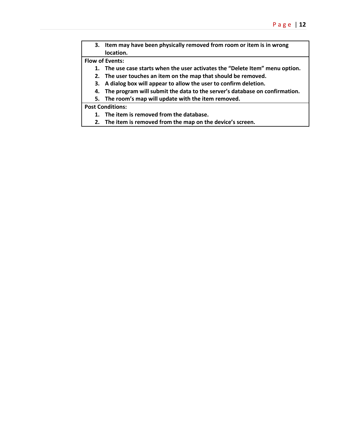**3. Item may have been physically removed from room or item is in wrong location.**

#### **Flow of Events:**

- **1. The use case starts when the user activates the "Delete Item" menu option.**
- **2. The user touches an item on the map that should be removed.**
- **3. A dialog box will appear to allow the user to confirm deletion.**
- **4. The program will submit the data to the server's database on confirmation.**
- **5. The room's map will update with the item removed.**

#### **Post Conditions:**

- **1. The item is removed from the database.**
- **2. The item is removed from the map on the device's screen.**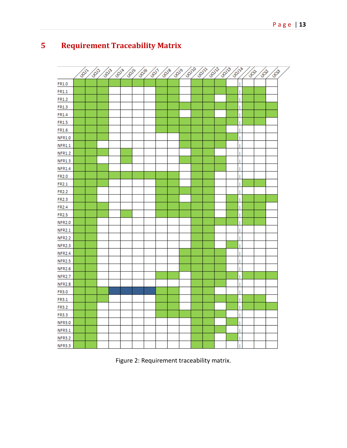# <span id="page-13-0"></span>**5 Requirement Traceability Matrix**



Figure 2: Requirement traceability matrix.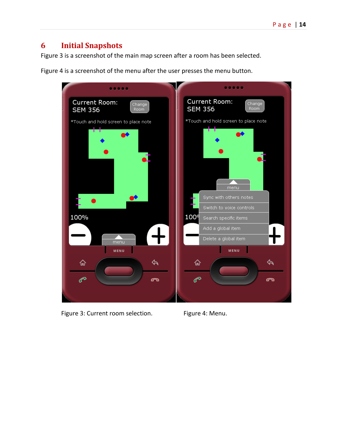# <span id="page-14-0"></span>**6 Initial Snapshots**

Figure 3 is a screenshot of the main map screen after a room has been selected.

Figure 4 is a screenshot of the menu after the user presses the menu button.

| <b>Current Room:</b><br>$Change^{\dagger}$<br><b>SEM 356</b><br>Room | <b>Current Room:</b><br>Change<br><b>SEM 356</b><br>Room |
|----------------------------------------------------------------------|----------------------------------------------------------|
| *Touch and hold screen to place note                                 | *Touch and hold screen to place note<br>menu             |
|                                                                      | Sync with others notes<br>Switch to voice controls       |
| 100%                                                                 | 100 <sup>q</sup><br>Search specific items                |
|                                                                      | Add a global item                                        |
| menu                                                                 | Delete a global item                                     |
| MENU                                                                 | MENU                                                     |
| 슶<br>P<br>൹                                                          | 仚<br>P<br>൹                                              |
|                                                                      |                                                          |

Figure 3: Current room selection. Figure 4: Menu.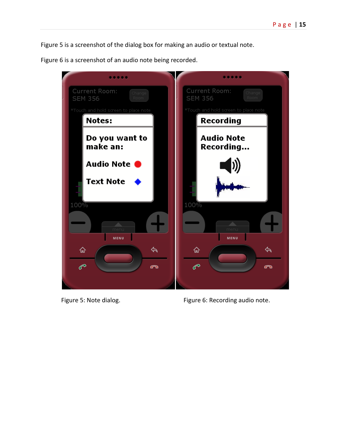Figure 5 is a screenshot of the dialog box for making an audio or textual note.

Figure 6 is a screenshot of an audio note being recorded.



Figure 5: Note dialog. The same of Figure 6: Recording audio note.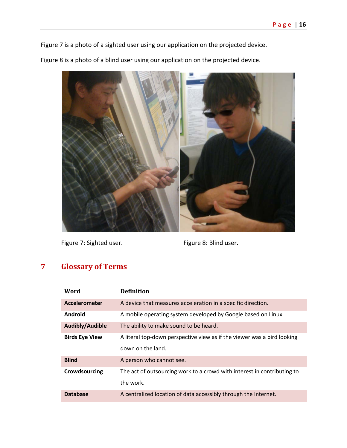Figure 7 is a photo of a sighted user using our application on the projected device.

Figure 8 is a photo of a blind user using our application on the projected device.



Figure 7: Sighted user. The South Communist Communist Communist Pigure 8: Blind user.

# <span id="page-16-0"></span>**7 Glossary of Terms**

| Word                  | <b>Definition</b>                                                                            |
|-----------------------|----------------------------------------------------------------------------------------------|
| Accelerometer         | A device that measures acceleration in a specific direction.                                 |
| Android               | A mobile operating system developed by Google based on Linux.                                |
| Audibly/Audible       | The ability to make sound to be heard.                                                       |
| <b>Birds Eye View</b> | A literal top-down perspective view as if the viewer was a bird looking<br>down on the land. |
| <b>Blind</b>          | A person who cannot see.                                                                     |
| Crowdsourcing         | The act of outsourcing work to a crowd with interest in contributing to<br>the work.         |
| <b>Database</b>       | A centralized location of data accessibly through the Internet.                              |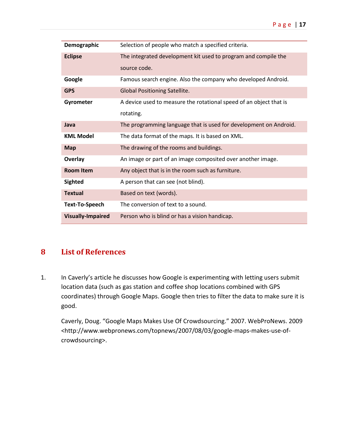| Demographic              | Selection of people who match a specified criteria.                |
|--------------------------|--------------------------------------------------------------------|
| <b>Eclipse</b>           | The integrated development kit used to program and compile the     |
|                          | source code.                                                       |
| Google                   | Famous search engine. Also the company who developed Android.      |
| <b>GPS</b>               | <b>Global Positioning Satellite.</b>                               |
| Gyrometer                | A device used to measure the rotational speed of an object that is |
|                          | rotating.                                                          |
| Java                     | The programming language that is used for development on Android.  |
| <b>KML Model</b>         | The data format of the maps. It is based on XML.                   |
| <b>Map</b>               | The drawing of the rooms and buildings.                            |
| Overlay                  | An image or part of an image composited over another image.        |
| <b>Room Item</b>         | Any object that is in the room such as furniture.                  |
| <b>Sighted</b>           | A person that can see (not blind).                                 |
| <b>Textual</b>           | Based on text (words).                                             |
| <b>Text-To-Speech</b>    | The conversion of text to a sound.                                 |
| <b>Visually-Impaired</b> | Person who is blind or has a vision handicap.                      |

# <span id="page-17-0"></span>**8 List of References**

1. In Caverly's article he discusses how Google is experimenting with letting users submit location data (such as gas station and coffee shop locations combined with GPS coordinates) through Google Maps. Google then tries to filter the data to make sure it is good.

Caverly, Doug. "Google Maps Makes Use Of Crowdsourcing." 2007. WebProNews. 2009 <http://www.webpronews.com/topnews/2007/08/03/google-maps-makes-use-ofcrowdsourcing>.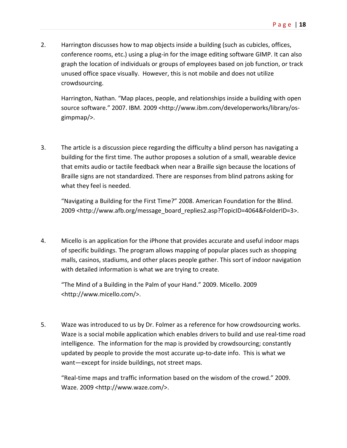2. Harrington discusses how to map objects inside a building (such as cubicles, offices, conference rooms, etc.) using a plug-in for the image editing software GIMP. It can also graph the location of individuals or groups of employees based on job function, or track unused office space visually. However, this is not mobile and does not utilize crowdsourcing.

Harrington, Nathan. "Map places, people, and relationships inside a building with open source software." 2007. IBM. 2009 <http://www.ibm.com/developerworks/library/osgimpmap/>.

3. The article is a discussion piece regarding the difficulty a blind person has navigating a building for the first time. The author proposes a solution of a small, wearable device that emits audio or tactile feedback when near a Braille sign because the locations of Braille signs are not standardized. There are responses from blind patrons asking for what they feel is needed.

"Navigating a Building for the First Time?" 2008. American Foundation for the Blind. 2009 <http://www.afb.org/message\_board\_replies2.asp?TopicID=4064&FolderID=3>.

4. Micello is an application for the iPhone that provides accurate and useful indoor maps of specific buildings. The program allows mapping of popular places such as shopping malls, casinos, stadiums, and other places people gather. This sort of indoor navigation with detailed information is what we are trying to create.

"The Mind of a Building in the Palm of your Hand." 2009. Micello. 2009 <http://www.micello.com/>.

5. Waze was introduced to us by Dr. Folmer as a reference for how crowdsourcing works. Waze is a social mobile application which enables drivers to build and use real-time road intelligence. The information for the map is provided by crowdsourcing; constantly updated by people to provide the most accurate up-to-date info. This is what we want—except for inside buildings, not street maps.

"Real-time maps and traffic information based on the wisdom of the crowd." 2009. Waze. 2009 <http://www.waze.com/>.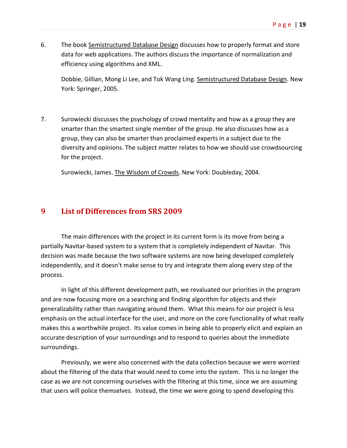6. The book Semistructured Database Design discusses how to properly format and store data for web applications. The authors discuss the importance of normalization and efficiency using algorithms and XML.

Dobbie, Gillian, Mong Li Lee, and Tok Wang Ling. Semistructured Database Design. New York: Springer, 2005.

7. Surowiecki discusses the psychology of crowd mentality and how as a group they are smarter than the smartest single member of the group. He also discusses how as a group, they can also be smarter than proclaimed experts in a subject due to the diversity and opinions. The subject matter relates to how we should use crowdsourcing for the project.

Surowiecki, James. The Wisdom of Crowds. New York: Doubleday, 2004.

## <span id="page-19-0"></span>**9 List of Differences from SRS 2009**

The main differences with the project in its current form is its move from being a partially Navitar-based system to a system that is completely independent of Navitar. This decision was made because the two software systems are now being developed completely independently, and it doesn't make sense to try and integrate them along every step of the process.

In light of this different development path, we revaluated our priorities in the program and are now focusing more on a searching and finding algorithm for objects and their generalizability rather than navigating around them. What this means for our project is less emphasis on the actual interface for the user, and more on the core functionality of what really makes this a worthwhile project. Its value comes in being able to properly elicit and explain an accurate description of your surroundings and to respond to queries about the immediate surroundings.

Previously, we were also concerned with the data collection because we were worried about the filtering of the data that would need to come into the system. This is no longer the case as we are not concerning ourselves with the filtering at this time, since we are assuming that users will police themselves. Instead, the time we were going to spend developing this